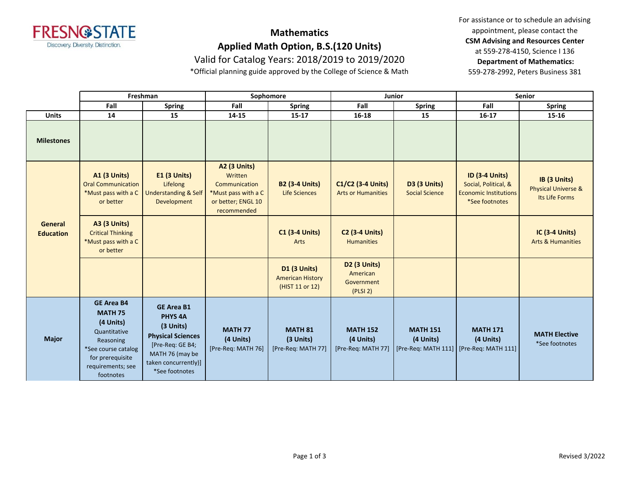

## **Mathematics**

**Applied Math Option, B.S.(120 Units)**

Valid for Catalog Years: 2018/2019 to 2019/2020

\*Official planning guide approved by the College of Science & Math

For assistance or to schedule an advising appointment, please contact the **CSM Advising and Resources Center** at 559-278-4150, Science I 136 **Department of Mathematics:** 559-278-2992, Peters Business 381

|                             | Freshman                                                                                                                                                   |                                                                                                                                                               | Sophomore                                                                                                   |                                                            | Junior                                             |                                                                         | <b>Senior</b>                                                                                   |                                                                  |
|-----------------------------|------------------------------------------------------------------------------------------------------------------------------------------------------------|---------------------------------------------------------------------------------------------------------------------------------------------------------------|-------------------------------------------------------------------------------------------------------------|------------------------------------------------------------|----------------------------------------------------|-------------------------------------------------------------------------|-------------------------------------------------------------------------------------------------|------------------------------------------------------------------|
|                             | Fall                                                                                                                                                       | <b>Spring</b>                                                                                                                                                 | Fall                                                                                                        | <b>Spring</b>                                              | Fall                                               | <b>Spring</b>                                                           | Fall                                                                                            | <b>Spring</b>                                                    |
| <b>Units</b>                | 14                                                                                                                                                         | 15                                                                                                                                                            | 14-15                                                                                                       | $15 - 17$                                                  | 16-18                                              | 15                                                                      | $16-17$                                                                                         | 15-16                                                            |
| <b>Milestones</b>           |                                                                                                                                                            |                                                                                                                                                               |                                                                                                             |                                                            |                                                    |                                                                         |                                                                                                 |                                                                  |
| General<br><b>Education</b> | <b>A1 (3 Units)</b><br><b>Oral Communication</b><br>*Must pass with a C<br>or better                                                                       | <b>E1 (3 Units)</b><br>Lifelong<br><b>Understanding &amp; Self</b><br>Development                                                                             | <b>A2 (3 Units)</b><br>Written<br>Communication<br>*Must pass with a C<br>or better; ENGL 10<br>recommended | <b>B2 (3-4 Units)</b><br><b>Life Sciences</b>              | C1/C2 (3-4 Units)<br><b>Arts or Humanities</b>     | <b>D3 (3 Units)</b><br><b>Social Science</b>                            | <b>ID (3-4 Units)</b><br>Social, Political, &<br><b>Economic Institutions</b><br>*See footnotes | IB (3 Units)<br><b>Physical Universe &amp;</b><br>Its Life Forms |
|                             | <b>A3 (3 Units)</b><br><b>Critical Thinking</b><br>*Must pass with a C<br>or better                                                                        |                                                                                                                                                               |                                                                                                             | <b>C1 (3-4 Units)</b><br>Arts                              | <b>C2 (3-4 Units)</b><br><b>Humanities</b>         |                                                                         |                                                                                                 | <b>IC (3-4 Units)</b><br><b>Arts &amp; Humanities</b>            |
|                             |                                                                                                                                                            |                                                                                                                                                               |                                                                                                             | D1 (3 Units)<br><b>American History</b><br>(HIST 11 or 12) | D2 (3 Units)<br>American<br>Government<br>(PLSI 2) |                                                                         |                                                                                                 |                                                                  |
| <b>Major</b>                | <b>GE Area B4</b><br><b>MATH 75</b><br>(4 Units)<br>Quantitative<br>Reasoning<br>*See course catalog<br>for prerequisite<br>requirements; see<br>footnotes | <b>GE Area B1</b><br><b>PHYS 4A</b><br>(3 Units)<br><b>Physical Sciences</b><br>[Pre-Req: GE B4;<br>MATH 76 (may be<br>taken concurrently)]<br>*See footnotes | <b>MATH 77</b><br>(4 Units)<br>[Pre-Req: MATH 76]                                                           | <b>MATH 81</b><br>(3 Units)<br>[Pre-Req: MATH 77]          | <b>MATH 152</b><br>(4 Units)<br>[Pre-Req: MATH 77] | <b>MATH 151</b><br>(4 Units)<br>[Pre-Req: MATH 111] [Pre-Req: MATH 111] | <b>MATH 171</b><br>(4 Units)                                                                    | <b>MATH Elective</b><br>*See footnotes                           |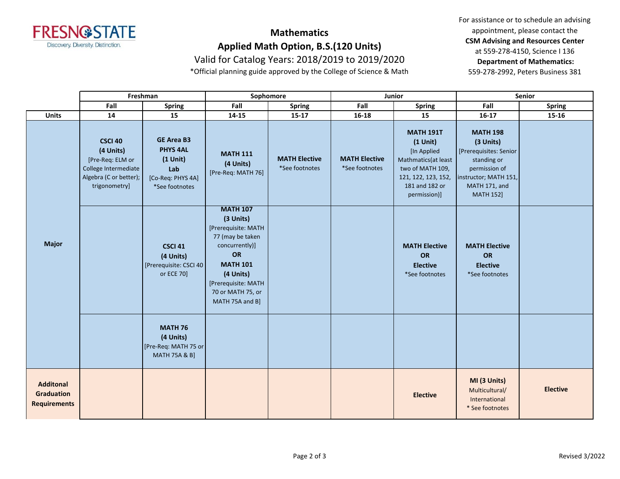

## **Mathematics**

**Applied Math Option, B.S.(120 Units)**

Valid for Catalog Years: 2018/2019 to 2019/2020

\*Official planning guide approved by the College of Science & Math

For assistance or to schedule an advising appointment, please contact the **CSM Advising and Resources Center** at 559-278-4150, Science I 136 **Department of Mathematics:** 559-278-2992, Peters Business 381

|                                                              | Freshman                                                                                                           |                                                                                                     | Sophomore                                                                                                                                                                                      |                                        | Junior                                 |                                                                                                                                                    | <b>Senior</b>                                                                                                                                        |                 |
|--------------------------------------------------------------|--------------------------------------------------------------------------------------------------------------------|-----------------------------------------------------------------------------------------------------|------------------------------------------------------------------------------------------------------------------------------------------------------------------------------------------------|----------------------------------------|----------------------------------------|----------------------------------------------------------------------------------------------------------------------------------------------------|------------------------------------------------------------------------------------------------------------------------------------------------------|-----------------|
|                                                              | Fall                                                                                                               | <b>Spring</b>                                                                                       | Fall                                                                                                                                                                                           | <b>Spring</b>                          | Fall                                   | <b>Spring</b>                                                                                                                                      | Fall                                                                                                                                                 | <b>Spring</b>   |
| <b>Units</b>                                                 | 14                                                                                                                 | 15                                                                                                  | 14-15                                                                                                                                                                                          | $15 - 17$                              | 16-18                                  | 15                                                                                                                                                 | $16 - 17$                                                                                                                                            | 15-16           |
| <b>Major</b>                                                 | <b>CSCI 40</b><br>(4 Units)<br>[Pre-Req: ELM or<br>College Intermediate<br>Algebra (C or better);<br>trigonometry] | <b>GE Area B3</b><br><b>PHYS 4AL</b><br>$(1$ Unit $)$<br>Lab<br>[Co-Req: PHYS 4A]<br>*See footnotes | <b>MATH 111</b><br>(4 Units)<br>[Pre-Req: MATH 76]                                                                                                                                             | <b>MATH Elective</b><br>*See footnotes | <b>MATH Elective</b><br>*See footnotes | <b>MATH 191T</b><br>$(1$ Unit)<br>[In Applied<br>Mathmatics (at least<br>two of MATH 109,<br>121, 122, 123, 152,<br>181 and 182 or<br>permission)] | <b>MATH 198</b><br>(3 Units)<br>[Prerequisites: Senior<br>standing or<br>permission of<br>instructor; MATH 151,<br>MATH 171, and<br><b>MATH 152]</b> |                 |
|                                                              |                                                                                                                    | <b>CSCI 41</b><br>(4 Units)<br>[Prerequisite: CSCI 40]<br>or ECE 70]                                | <b>MATH 107</b><br>(3 Units)<br>[Prerequisite: MATH<br>77 (may be taken<br>concurrently)]<br>OR<br><b>MATH 101</b><br>(4 Units)<br>[Prerequisite: MATH<br>70 or MATH 75, or<br>MATH 75A and B] |                                        |                                        | <b>MATH Elective</b><br>OR<br><b>Elective</b><br>*See footnotes                                                                                    | <b>MATH Elective</b><br>OR<br><b>Elective</b><br>*See footnotes                                                                                      |                 |
|                                                              |                                                                                                                    | <b>MATH 76</b><br>(4 Units)<br>[Pre-Req: MATH 75 or<br><b>MATH 75A &amp; B]</b>                     |                                                                                                                                                                                                |                                        |                                        |                                                                                                                                                    |                                                                                                                                                      |                 |
| <b>Additonal</b><br><b>Graduation</b><br><b>Requirements</b> |                                                                                                                    |                                                                                                     |                                                                                                                                                                                                |                                        |                                        | <b>Elective</b>                                                                                                                                    | MI (3 Units)<br>Multicultural/<br>International<br>* See footnotes                                                                                   | <b>Elective</b> |